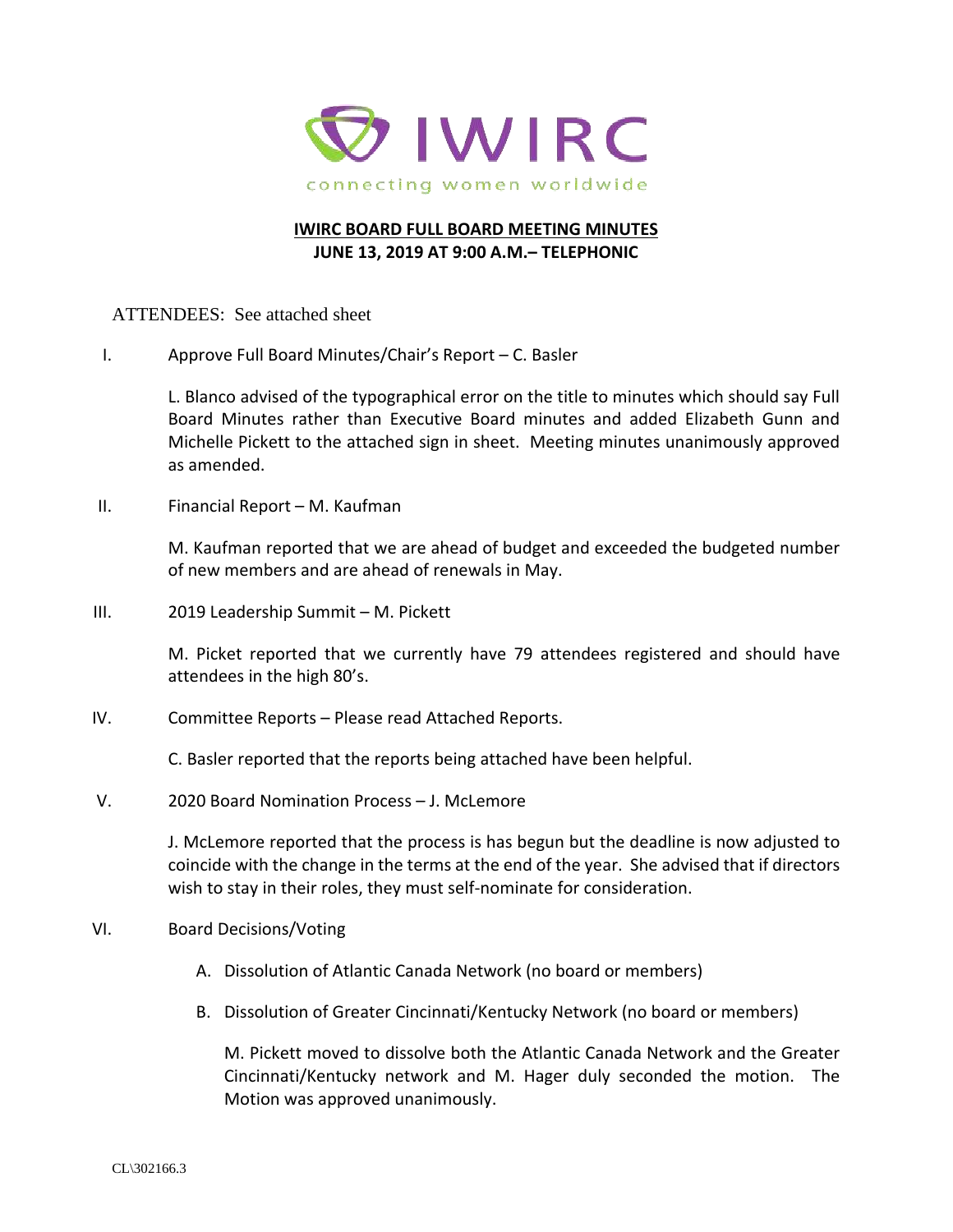

## **IWIRC BOARD FULL BOARD MEETING MINUTES JUNE 13, 2019 AT 9:00 A.M.– TELEPHONIC**

ATTENDEES: See attached sheet

I. Approve Full Board Minutes/Chair's Report – C. Basler

L. Blanco advised of the typographical error on the title to minutes which should say Full Board Minutes rather than Executive Board minutes and added Elizabeth Gunn and Michelle Pickett to the attached sign in sheet. Meeting minutes unanimously approved as amended.

II. Financial Report – M. Kaufman

M. Kaufman reported that we are ahead of budget and exceeded the budgeted number of new members and are ahead of renewals in May.

III. 2019 Leadership Summit – M. Pickett

M. Picket reported that we currently have 79 attendees registered and should have attendees in the high 80's.

IV. Committee Reports – Please read Attached Reports.

C. Basler reported that the reports being attached have been helpful.

V. 2020 Board Nomination Process – J. McLemore

J. McLemore reported that the process is has begun but the deadline is now adjusted to coincide with the change in the terms at the end of the year. She advised that if directors wish to stay in their roles, they must self-nominate for consideration.

- VI. Board Decisions/Voting
	- A. Dissolution of Atlantic Canada Network (no board or members)
	- B. Dissolution of Greater Cincinnati/Kentucky Network (no board or members)

M. Pickett moved to dissolve both the Atlantic Canada Network and the Greater Cincinnati/Kentucky network and M. Hager duly seconded the motion. The Motion was approved unanimously.